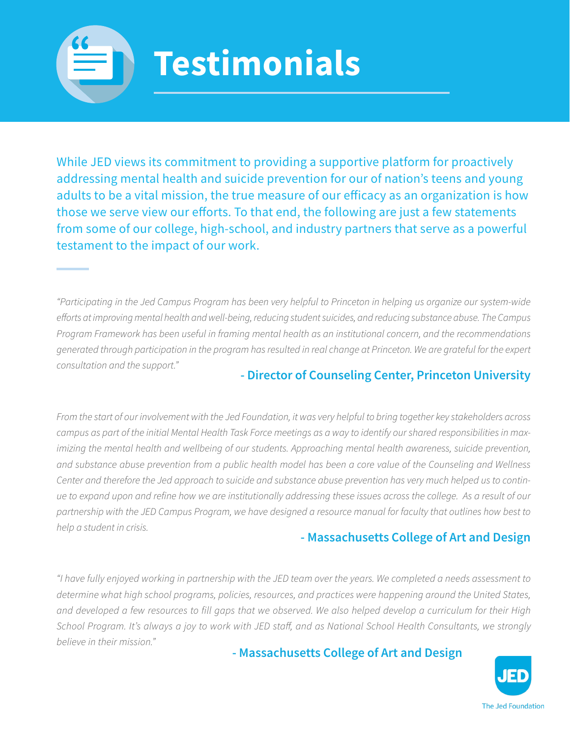

While JED views its commitment to providing a supportive platform for proactively addressing mental health and suicide prevention for our of nation's teens and young adults to be a vital mission, the true measure of our efficacy as an organization is how those we serve view our efforts. To that end, the following are just a few statements from some of our college, high-school, and industry partners that serve as a powerful testament to the impact of our work.

*"Participating in the Jed Campus Program has been very helpful to Princeton in helping us organize our system-wide efforts at improving mental health and well-being, reducing student suicides, and reducing substance abuse. The Campus Program Framework has been useful in framing mental health as an institutional concern, and the recommendations generated through participation in the program has resulted in real change at Princeton. We are grateful for the expert consultation and the support."*

## **- Director of Counseling Center, Princeton University**

*From the start of our involvement with the Jed Foundation, it was very helpful to bring together key stakeholders across campus as part of the initial Mental Health Task Force meetings as a way to identify our shared responsibilities in max*imizing the mental health and wellbeing of our students. Approaching mental health awareness, suicide prevention, *and substance abuse prevention from a public health model has been a core value of the Counseling and Wellness Center and therefore the Jed approach to suicide and substance abuse prevention has very much helped us to continue to expand upon and refine how we are institutionally addressing these issues across the college. As a result of our partnership with the JED Campus Program, we have designed a resource manual for faculty that outlines how best to help a student in crisis.*

#### **- Massachusetts College of Art and Design**

*"I have fully enjoyed working in partnership with the JED team over the years. We completed a needs assessment to determine what high school programs, policies, resources, and practices were happening around the United States, and developed a few resources to fill gaps that we observed. We also helped develop a curriculum for their High School Program. It's always a joy to work with JED staff, and as National School Health Consultants, we strongly believe in their mission."*

**- Massachusetts College of Art and Design**